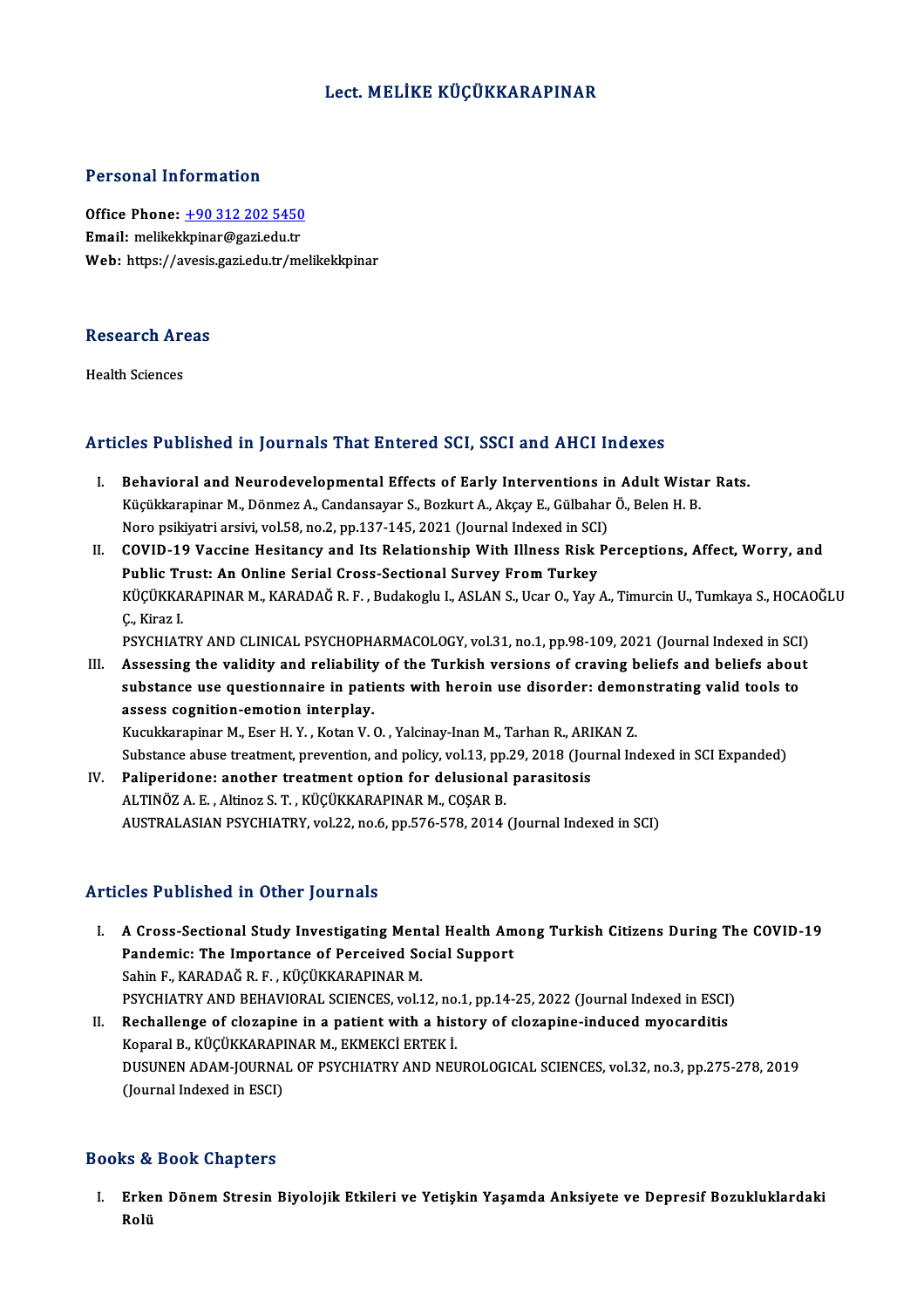#### Lect.MELİKE KÜÇÜKKARAPINAR

#### Personal Information

Personal Information<br>Office Phone: <u>+90 312 202 5450</u><br>Email: molikeklminer@seri.edu.tr Processian information<br>Office Phone: <u>+90 312 202 5450</u><br>Email: melikek[kpinar@gazi.edu.tr](tel:+90 312 202 5450) Email: melikekkpinar@gazi.edu.tr<br>Web: https://avesis.gazi.edu.tr/melikekkpinar

### research<br>Research Areas R<mark>esearch Ar</mark><br>Health Sciences

## Articles Published in Journals That Entered SCI, SSCI and AHCI Indexes

- rticles Published in Journals That Entered SCI, SSCI and AHCI Indexes<br>I. Behavioral and Neurodevelopmental Effects of Early Interventions in Adult Wistar Rats.<br>Wisikkerapinar M. Dänmer A. Condansever S. Beglaut A. Aksay E. Köz Tabiisinea in journale That Enter ea oor, seer and filmer maekee<br>Behavioral and Neurodevelopmental Effects of Early Interventions in Adult Wista<br>Küçükkarapinar M., Dönmez A., Candansayar S., Bozkurt A., Akçay E., Gülba Behavioral and Neurodevelopmental Effects of Early Interventions in<br>Küçükkarapinar M., Dönmez A., Candansayar S., Bozkurt A., Akçay E., Gülbahar<br>Noro psikiyatri arsivi, vol.58, no.2, pp.137-145, 2021 (Journal Indexed in SC Küçükkarapinar M., Dönmez A., Candansayar S., Bozkurt A., Akçay E., Gülbahar Ö., Belen H. B.<br>Noro psikiyatri arsivi, vol.58, no.2, pp.137-145, 2021 (Journal Indexed in SCI)<br>II. COVID-19 Vaccine Hesitancy and Its Relationsh
- Noro psikiyatri arsivi, vol.58, no.2, pp.137-145, 2021 (Journal Indexed in SCI<br>COVID-19 Vaccine Hesitancy and Its Relationship With Illness Risk |<br>Public Trust: An Online Serial Cross-Sectional Survey From Turkey<br>VücüvyARA COVID-19 Vaccine Hesitancy and Its Relationship With Illness Risk Perceptions, Affect, Worry, and<br>Public Trust: An Online Serial Cross-Sectional Survey From Turkey<br>KÜÇÜKKARAPINAR M., KARADAĞ R. F. , Budakoglu I., ASLAN S., Public Trust: An Online Serial Cross-Sectional Survey From Turkey<br>KÜÇÜKKARAPINAR M., KARADAĞ R. F. , Budakoglu I., ASLAN S., Ucar O., Yay A., Timurcin U., Tumkaya S., HOCAOĞLU<br>C., Kiraz I. PSYCHIATRY AND CLINICAL PSYCHOPHARMACOLOGY, vol.31, no.1, pp.98-109, 2021 (Journal Indexed in SCI)
- III. Assessing the validity and reliability of the Turkish versions of craving beliefs and beliefs about PSYCHIATRY AND CLINICAL PSYCHOPHARMACOLOGY, vol.31, no.1, pp.98-109, 2021 (Journal Indexed in SCI<br>Assessing the validity and reliability of the Turkish versions of craving beliefs and beliefs abou<br>substance use questionnai Assessing the validity and reliability<br>substance use questionnaire in pati<br>assess cognition-emotion interplay.<br>Example interplay. substance use questionnaire in patients with heroin use disorder: demom<br>assess cognition-emotion interplay.<br>Kucukkarapinar M., Eser H.Y., Kotan V. O., Yalcinay-Inan M., Tarhan R., ARIKAN Z.<br>Substance abuse treatment preven

assess cognition-emotion interplay.<br>Kucukkarapinar M., Eser H. Y. , Kotan V. O. , Yalcinay-Inan M., Tarhan R., ARIKAN Z.<br>Substance abuse treatment, prevention, and policy, vol.13, pp.29, 2018 (Journal Indexed in SCI Expand Kucukkarapinar M., Eser H. Y., Kotan V. O., Yalcinay-Inan M., Tarhan R., ARI<br>Substance abuse treatment, prevention, and policy, vol.13, pp.29, 2018 (Jou<br>IV. Paliperidone: another treatment option for delusional parasitosis Substance abuse treatment, prevention, and policy, vol.13, pp.<br>Paliperidone: another treatment option for delusional<br>ALTINÖZ A. E. , Altinoz S. T. , KÜÇÜKKARAPINAR M., COŞAR B.<br>AUSTRALASIAN PSYCHIATPY, vol.22, po 6, pp.576 IV. Paliperidone: another treatment option for delusional parasitosis<br>ALTINÖZ A. E. , Altinoz S. T. , KÜÇÜKKARAPINAR M., COŞAR B.<br>AUSTRALASIAN PSYCHIATRY, vol.22, no.6, pp.576-578, 2014 (Journal Indexed in SCI)

#### Articles Published in Other Journals

- rticles Published in Other Journals<br>I. A Cross-Sectional Study Investigating Mental Health Among Turkish Citizens During The COVID-19<br>Rendemia: The Impertance of Persejued Secial Suppert Pres Published in Sther Journals<br>A Cross-Sectional Study Investigating Mental Health Am<br>Pandemic: The Importance of Perceived Social Support<br>Sobin E. KARADAČ B. E. KÜÇÜKKARAPINAR M A Cross-Sectional Study Investigating Ment<br>Pandemic: The Importance of Perceived So<br>Sahin F., KARADAĞ R. F. , KÜÇÜKKARAPINAR M.<br>PSYCHIATPY AND PEHAVIORAL SCIENCES vol 1 Pandemic: The Importance of Perceived Social Support<br>Sahin F., KARADAĞ R. F. , KÜÇÜKKARAPINAR M.<br>PSYCHIATRY AND BEHAVIORAL SCIENCES, vol.12, no.1, pp.14-25, 2022 (Journal Indexed in ESCI)<br>Peshallange of slaganine in a nati Sahin F., KARADAĞ R. F. , KÜÇÜKKARAPINAR M.<br>PSYCHIATRY AND BEHAVIORAL SCIENCES, vol.12, no.1, pp.14-25, 2022 (Journal Indexed in ESCI<br>II. Rechallenge of clozapine in a patient with a history of clozapine-induced myocarditi
- PSYCHIATRY AND BEHAVIORAL SCIENCES, vol.12, no<br>Rechallenge of clozapine in a patient with a his<br>Koparal B., KÜÇÜKKARAPINAR M., EKMEKCİ ERTEK İ.<br>DUSUNEN ADAM JOUPNAL OF PSYCHIATPY AND NEL DUSUNEN ADAM-JOURNAL OF PSYCHIATRY AND NEUROLOGICAL SCIENCES, vol.32, no.3, pp.275-278, 2019<br>(Journal Indexed in ESCI) Koparal B., KÜÇÜKKARAPINAR M., EKMEKCİ ERTEK İ.

#### Books&Book Chapters

ooks & Book Chapters<br>I. Erken Dönem Stresin Biyolojik Etkileri ve Yetişkin Yaşamda Anksiyete ve Depresif Bozukluklardaki<br>Rolü ro<br>Crke<br>Rolü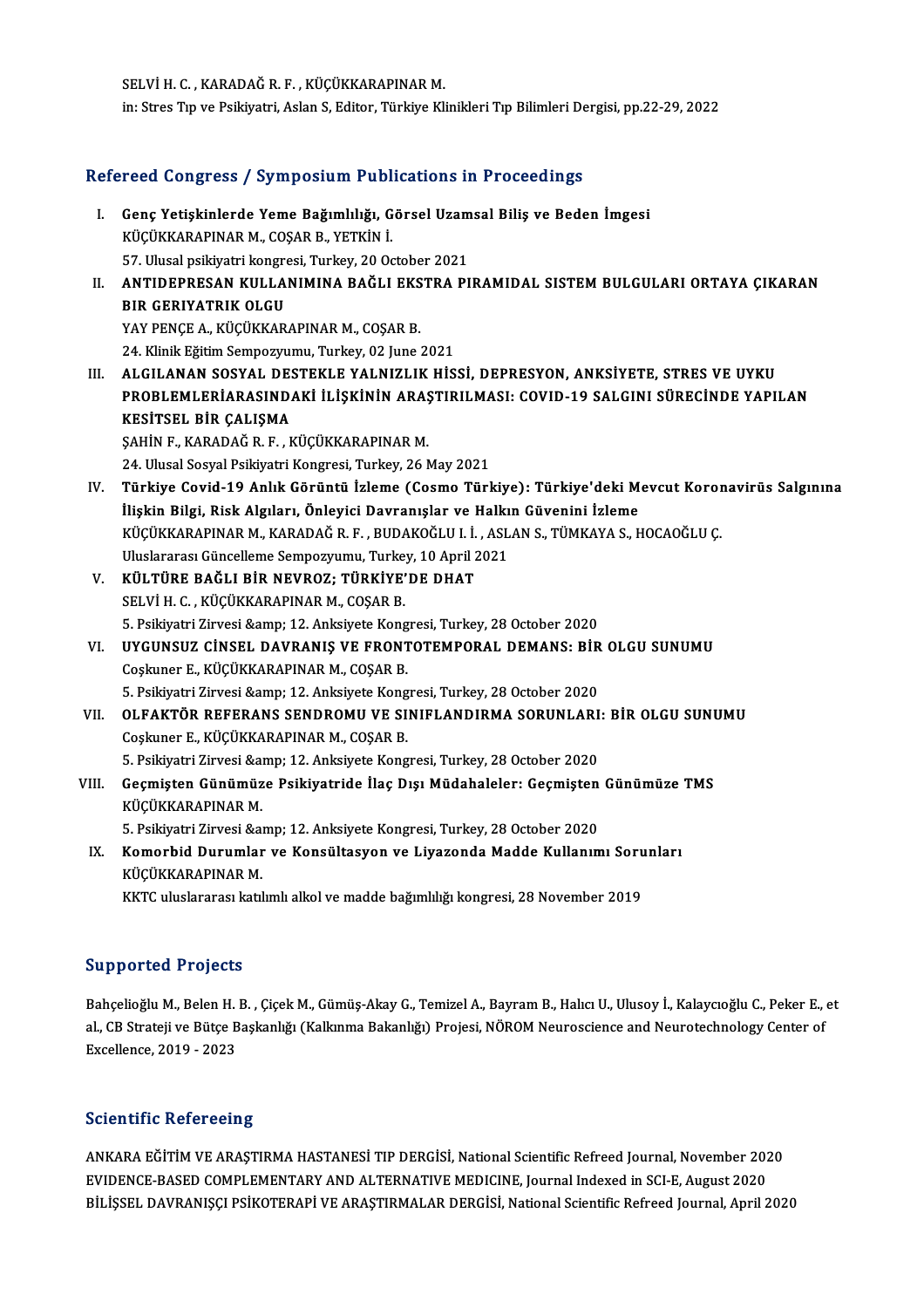SELVİH. C., KARADAĞR.F., KÜÇÜKKARAPINARM. in: Stres Tıp ve Psikiyatri, Aslan S, Editor, Türkiye Klinikleri Tıp Bilimleri Dergisi, pp.22-29, 2022

# m: stres Tip ve Psikiyatri, Asian S, Editor, Turkiye Kilnikleri Tip Billmleri De<br>Refereed Congress / Symposium Publications in Proceedings

| Refereed Congress / Symposium Publications in Proceedings |                                                                                                  |
|-----------------------------------------------------------|--------------------------------------------------------------------------------------------------|
| L.                                                        | Genç Yetişkinlerde Yeme Bağımlılığı, Görsel Uzamsal Biliş ve Beden İmgesi                        |
|                                                           | KÜÇÜKKARAPINAR M., COŞAR B., YETKİN İ.                                                           |
|                                                           | 57. Ulusal psikiyatri kongresi, Turkey, 20 October 2021                                          |
| Н.                                                        | ANTIDEPRESAN KULLANIMINA BAĞLI EKSTRA PIRAMIDAL SISTEM BULGULARI ORTAYA ÇIKARAN                  |
|                                                           | <b>BIR GERIYATRIK OLGU</b>                                                                       |
|                                                           | YAY PENCE A., KÜÇÜKKARAPINAR M., COŞAR B.                                                        |
|                                                           | 24. Klinik Eğitim Sempozyumu, Turkey, 02 June 2021                                               |
| III.                                                      | ALGILANAN SOSYAL DESTEKLE YALNIZLIK HİSSİ, DEPRESYON, ANKSİYETE, STRES VE UYKU                   |
|                                                           | PROBLEMLERİARASINDAKİ İLİŞKİNİN ARAŞTIRILMASI: COVID-19 SALGINI SÜRECİNDE YAPILAN                |
|                                                           | KESİTSEL BİR ÇALIŞMA                                                                             |
|                                                           | ŞAHİN F., KARADAĞ R. F., KÜÇÜKKARAPINAR M.                                                       |
|                                                           | 24. Ulusal Sosyal Psikiyatri Kongresi, Turkey, 26 May 2021                                       |
| IV.                                                       | Türkiye Covid-19 Anlık Görüntü İzleme (Cosmo Türkiye): Türkiye'deki Mevcut Koronavirüs Salgınına |
|                                                           | İlişkin Bilgi, Risk Algıları, Önleyici Davranışlar ve Halkın Güvenini İzleme                     |
|                                                           | KÜÇÜKKARAPINAR M., KARADAĞ R. F., BUDAKOĞLU I. İ., ASLAN S., TÜMKAYA S., HOCAOĞLU Ç.             |
|                                                           | Uluslararası Güncelleme Sempozyumu, Turkey, 10 April 2021                                        |
| V.                                                        | KÜLTÜRE BAĞLI BİR NEVROZ; TÜRKİYE'DE DHAT                                                        |
|                                                           | SELVİH.C., KÜÇÜKKARAPINAR M., COŞAR B.                                                           |
|                                                           | 5. Psikiyatri Zirvesi & 12. Anksiyete Kongresi, Turkey, 28 October 2020                          |
| VI.                                                       | UYGUNSUZ CINSEL DAVRANIŞ VE FRONTOTEMPORAL DEMANS: BİR OLGU SUNUMU                               |
|                                                           | Coşkuner E., KÜÇÜKKARAPINAR M., COŞAR B.                                                         |
|                                                           | 5. Psikiyatri Zirvesi & 12. Anksiyete Kongresi, Turkey, 28 October 2020                          |
| VII.                                                      | OLFAKTÖR REFERANS SENDROMU VE SINIFLANDIRMA SORUNLARI: BİR OLGU SUNUMU                           |
|                                                           | Coşkuner E., KÜÇÜKKARAPINAR M., COŞAR B.                                                         |
|                                                           | 5. Psikiyatri Zirvesi & 12. Anksiyete Kongresi, Turkey, 28 October 2020                          |
| VIII.                                                     | Geçmişten Günümüze Psikiyatride İlaç Dışı Müdahaleler: Geçmişten Günümüze TMS                    |
|                                                           | KÜÇÜKKARAPINAR M.                                                                                |
|                                                           | 5. Psikiyatri Zirvesi & 12. Anksiyete Kongresi, Turkey, 28 October 2020                          |
| IX.                                                       | Komorbid Durumlar ve Konsültasyon ve Liyazonda Madde Kullanımı Sorunları                         |
|                                                           | KÜÇÜKKARAPINAR M.                                                                                |
|                                                           | KKTC uluslararası katılımlı alkol ve madde bağımlılığı kongresi, 28 November 2019                |
|                                                           |                                                                                                  |

#### Supported Projects

Bahçelioğlu M., Belen H. B. , Çiçek M., Gümüş-Akay G., Temizel A., Bayram B., Halıcı U., Ulusoy İ., Kalaycıoğlu C., Peker E., et Bahçelioğlu M., Belen H. B. , Çiçek M., Gümüş-Akay G., Temizel A., Bayram B., Halıcı U., Ulusoy İ., Kalaycıoğlu C., Peker E., .<br>Bahçelioğlu M., Belen H. B. , Çiçek M., Gümüş-Akay G., Temizel A., Bayram B., Halıcı U., Uluso Bahçelioğlu M., Belen H.<br>al., CB Strateji ve Bütçe B<br>Excellence, 2019 - 2023 Excellence, 2019 - 2023<br>Scientific Refereeing

Scientific Refereeing<br>ANKARA EĞİTİM VE ARAŞTIRMA HASTANESİ TIP DERGİSİ, National Scientific Refreed Journal, November 2020<br>EVIDENCE BASED COMPLEMENTARY AND ALTERNATIVE MEDICINE Journal Indoved in SCLE, Avgyat 2020 BEICHEITE INDICT COMB<br>ANKARA EĞİTİM VE ARAŞTIRMA HASTANESİ TIP DERGİSİ, National Scientific Refreed Journal, November 202<br>EVIDENCE-BASED COMPLEMENTARY AND ALTERNATIVE MEDICINE, Journal Indexed in SCI-E, August 2020<br>PİLİSSE BVIDENCE-BASED COMPLEMENTARY AND ALTERNATIVE MEDICINE, Journal Indexed in SCI-E, August 2020<br>BİLİŞSEL DAVRANIŞÇI PSİKOTERAPİ VE ARAŞTIRMALAR DERGİSİ, National Scientific Refreed Journal, April 2020